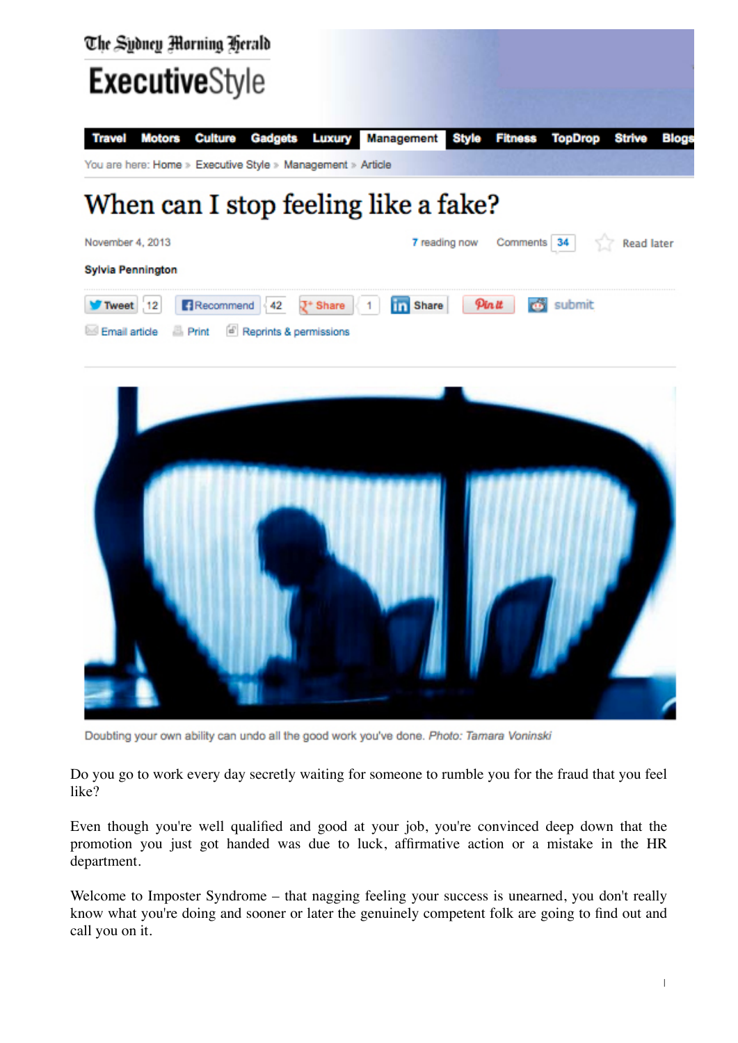



Doubting your own ability can undo all the good work you've done. Photo: Tamara Voninski

Do you go to work every day secretly waiting for someone to rumble you for the fraud that you feel like?

Even though you're well qualified and good at your job, you're convinced deep down that the promotion you just got handed was due to luck, affirmative action or a mistake in the HR department.

Welcome to Imposter Syndrome – that nagging feeling your success is unearned, you don't really know what you're doing and sooner or later the genuinely competent folk are going to find out and call you on it.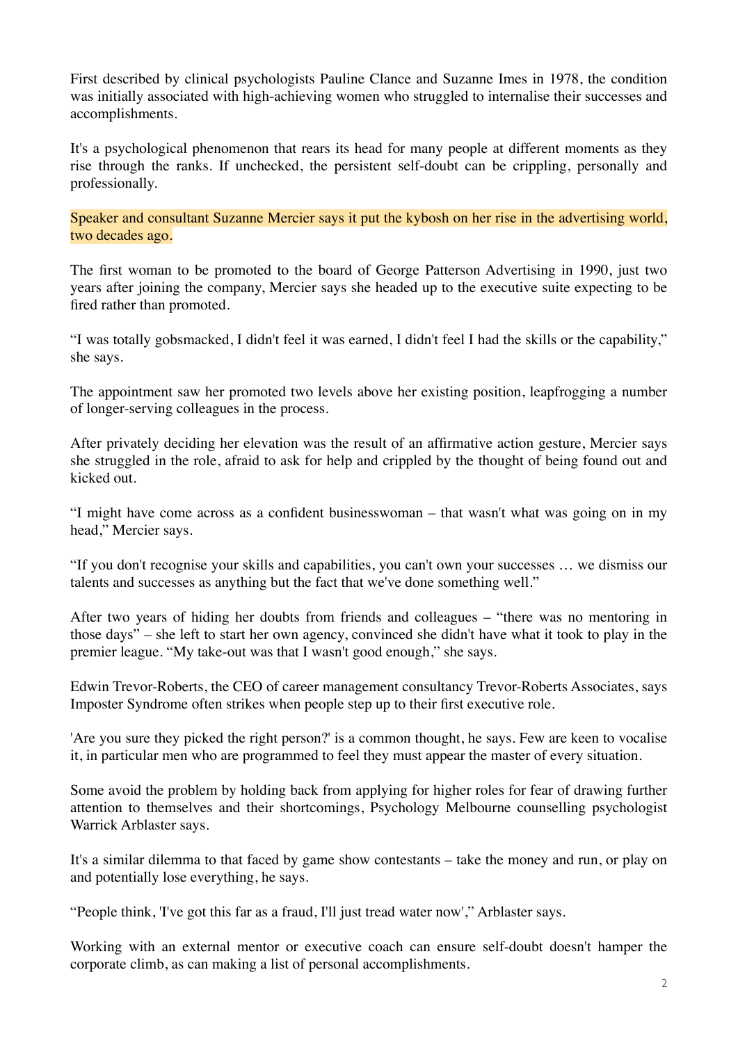First described by clinical psychologists Pauline Clance and Suzanne Imes in 1978, the condition was initially associated with high-achieving women who struggled to internalise their successes and accomplishments.

It's a psychological phenomenon that rears its head for many people at different moments as they rise through the ranks. If unchecked, the persistent self-doubt can be crippling, personally and professionally.

Speaker and consultant Suzanne Mercier says it put the kybosh on her rise in the advertising world, two decades ago.

The first woman to be promoted to the board of George Patterson Advertising in 1990, just two years after joining the company, Mercier says she headed up to the executive suite expecting to be fired rather than promoted.

"I was totally gobsmacked, I didn't feel it was earned, I didn't feel I had the skills or the capability," she says.

The appointment saw her promoted two levels above her existing position, leapfrogging a number of longer-serving colleagues in the process.

After privately deciding her elevation was the result of an affirmative action gesture, Mercier says she struggled in the role, afraid to ask for help and crippled by the thought of being found out and kicked out.

"I might have come across as a confident businesswoman – that wasn't what was going on in my head," Mercier says.

"If you don't recognise your skills and capabilities, you can't own your successes … we dismiss our talents and successes as anything but the fact that we've done something well."

After two years of hiding her doubts from friends and colleagues – "there was no mentoring in those days" – she left to start her own agency, convinced she didn't have what it took to play in the premier league. "My take-out was that I wasn't good enough," she says.

Edwin Trevor-Roberts, the CEO of career management consultancy Trevor-Roberts Associates, says Imposter Syndrome often strikes when people step up to their first executive role.

'Are you sure they picked the right person?' is a common thought, he says. Few are keen to vocalise it, in particular men who are programmed to feel they must appear the master of every situation.

Some avoid the problem by holding back from applying for higher roles for fear of drawing further attention to themselves and their shortcomings, Psychology Melbourne counselling psychologist Warrick Arblaster says.

It's a similar dilemma to that faced by game show contestants – take the money and run, or play on and potentially lose everything, he says.

"People think, 'I've got this far as a fraud, I'll just tread water now'," Arblaster says.

Working with an external mentor or executive coach can ensure self-doubt doesn't hamper the corporate climb, as can making a list of personal accomplishments.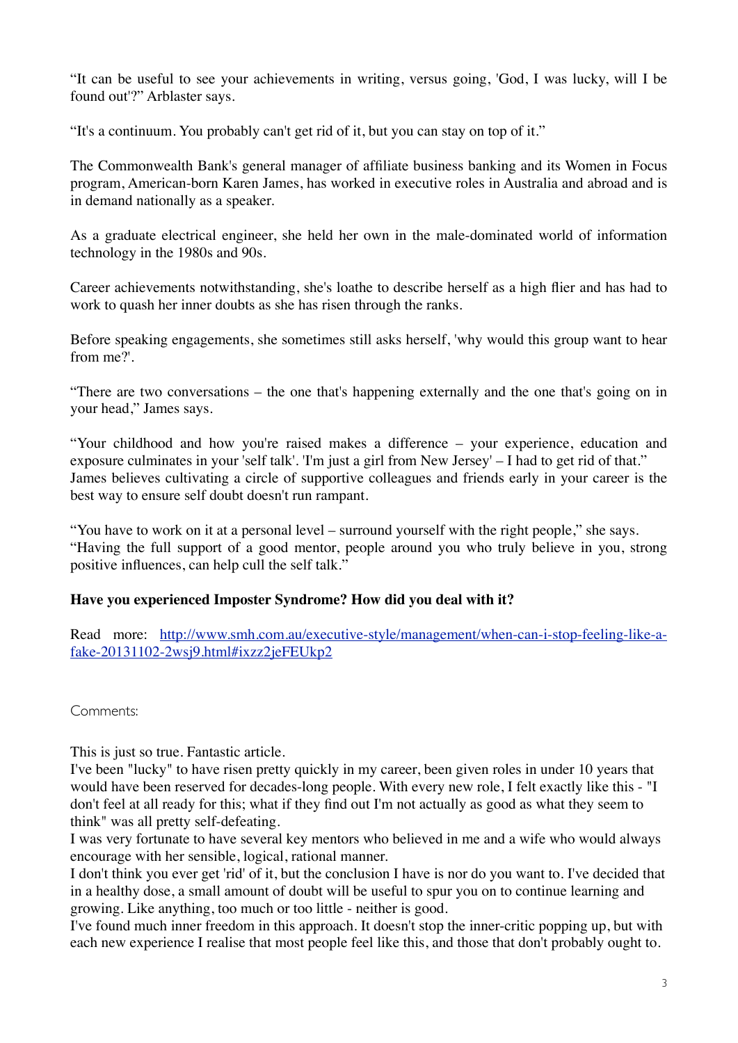"It can be useful to see your achievements in writing, versus going, 'God, I was lucky, will I be found out'?" Arblaster says.

"It's a continuum. You probably can't get rid of it, but you can stay on top of it."

The Commonwealth Bank's general manager of affiliate business banking and its Women in Focus program, American-born Karen James, has worked in executive roles in Australia and abroad and is in demand nationally as a speaker.

As a graduate electrical engineer, she held her own in the male-dominated world of information technology in the 1980s and 90s.

Career achievements notwithstanding, she's loathe to describe herself as a high flier and has had to work to quash her inner doubts as she has risen through the ranks.

Before speaking engagements, she sometimes still asks herself, 'why would this group want to hear from me?'.

"There are two conversations – the one that's happening externally and the one that's going on in your head," James says.

"Your childhood and how you're raised makes a difference – your experience, education and exposure culminates in your 'self talk'. 'I'm just a girl from New Jersey' – I had to get rid of that." James believes cultivating a circle of supportive colleagues and friends early in your career is the best way to ensure self doubt doesn't run rampant.

"You have to work on it at a personal level – surround yourself with the right people," she says. "Having the full support of a good mentor, people around you who truly believe in you, strong positive influences, can help cull the self talk."

## **Have you experienced Imposter Syndrome? How did you deal with it?**

Read more: [http://www.smh.com.au/executive-style/management/when-can-i-stop-feeling-like-a](http://www.smh.com.au/executive-style/management/when-can-i-stop-feeling-like-a-fake-20131102-2wsj9.html#ixzz2jeFEUkp2)[fake-20131102-2wsj9.html#ixzz2jeFEUkp2](http://www.smh.com.au/executive-style/management/when-can-i-stop-feeling-like-a-fake-20131102-2wsj9.html#ixzz2jeFEUkp2)

Comments:

This is just so true. Fantastic article.

I've been "lucky" to have risen pretty quickly in my career, been given roles in under 10 years that would have been reserved for decades-long people. With every new role, I felt exactly like this - "I don't feel at all ready for this; what if they find out I'm not actually as good as what they seem to think" was all pretty self-defeating.

I was very fortunate to have several key mentors who believed in me and a wife who would always encourage with her sensible, logical, rational manner.

I don't think you ever get 'rid' of it, but the conclusion I have is nor do you want to. I've decided that in a healthy dose, a small amount of doubt will be useful to spur you on to continue learning and growing. Like anything, too much or too little - neither is good.

I've found much inner freedom in this approach. It doesn't stop the inner-critic popping up, but with each new experience I realise that most people feel like this, and those that don't probably ought to.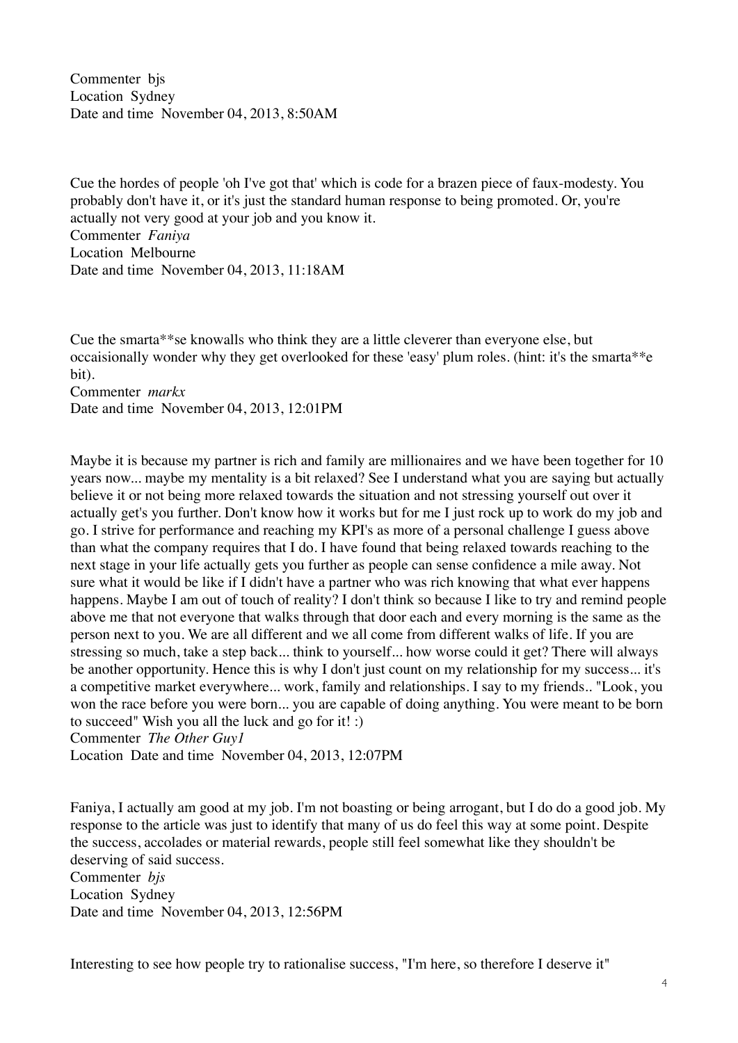Commenter bjs Location Sydney Date and time November 04, 2013, 8:50AM

Cue the hordes of people 'oh I've got that' which is code for a brazen piece of faux-modesty. You probably don't have it, or it's just the standard human response to being promoted. Or, you're actually not very good at your job and you know it. Commenter *Faniya* Location Melbourne Date and time November 04, 2013, 11:18AM

Cue the smarta\*\*se knowalls who think they are a little cleverer than everyone else, but occaisionally wonder why they get overlooked for these 'easy' plum roles. (hint: it's the smarta\*\*e bit).

Commenter *markx* Date and time November 04, 2013, 12:01PM

Maybe it is because my partner is rich and family are millionaires and we have been together for 10 years now... maybe my mentality is a bit relaxed? See I understand what you are saying but actually believe it or not being more relaxed towards the situation and not stressing yourself out over it actually get's you further. Don't know how it works but for me I just rock up to work do my job and go. I strive for performance and reaching my KPI's as more of a personal challenge I guess above than what the company requires that I do. I have found that being relaxed towards reaching to the next stage in your life actually gets you further as people can sense confidence a mile away. Not sure what it would be like if I didn't have a partner who was rich knowing that what ever happens happens. Maybe I am out of touch of reality? I don't think so because I like to try and remind people above me that not everyone that walks through that door each and every morning is the same as the person next to you. We are all different and we all come from different walks of life. If you are stressing so much, take a step back... think to yourself... how worse could it get? There will always be another opportunity. Hence this is why I don't just count on my relationship for my success... it's a competitive market everywhere... work, family and relationships. I say to my friends.. "Look, you won the race before you were born... you are capable of doing anything. You were meant to be born to succeed" Wish you all the luck and go for it! :) Commenter *The Other Guy1*

Location Date and time November 04, 2013, 12:07PM

Faniya, I actually am good at my job. I'm not boasting or being arrogant, but I do do a good job. My response to the article was just to identify that many of us do feel this way at some point. Despite the success, accolades or material rewards, people still feel somewhat like they shouldn't be deserving of said success. Commenter *bjs* Location Sydney Date and time November 04, 2013, 12:56PM

Interesting to see how people try to rationalise success, "I'm here, so therefore I deserve it"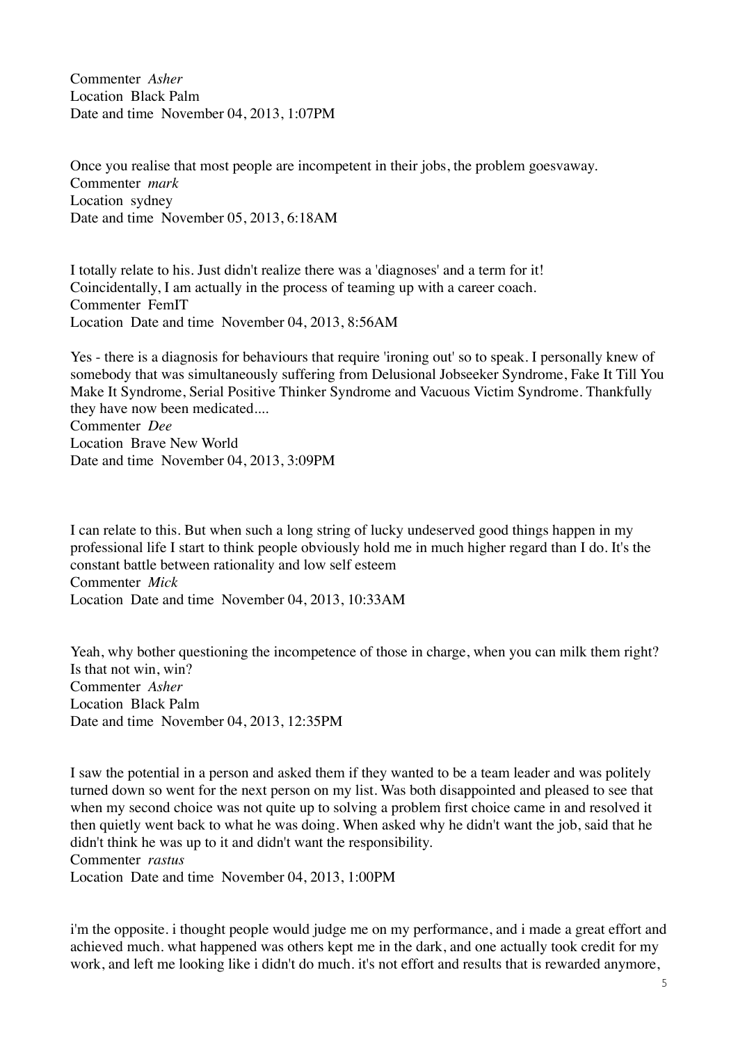Commenter *Asher* Location Black Palm Date and time November 04, 2013, 1:07PM

Once you realise that most people are incompetent in their jobs, the problem goesvaway. Commenter *mark* Location sydney Date and time November 05, 2013, 6:18AM

I totally relate to his. Just didn't realize there was a 'diagnoses' and a term for it! Coincidentally, I am actually in the process of teaming up with a career coach. Commenter FemIT Location Date and time November 04, 2013, 8:56AM

Yes - there is a diagnosis for behaviours that require 'ironing out' so to speak. I personally knew of somebody that was simultaneously suffering from Delusional Jobseeker Syndrome, Fake It Till You Make It Syndrome, Serial Positive Thinker Syndrome and Vacuous Victim Syndrome. Thankfully they have now been medicated.... Commenter *Dee*

Location Brave New World Date and time November 04, 2013, 3:09PM

I can relate to this. But when such a long string of lucky undeserved good things happen in my professional life I start to think people obviously hold me in much higher regard than I do. It's the constant battle between rationality and low self esteem Commenter *Mick* Location Date and time November 04, 2013, 10:33AM

Yeah, why bother questioning the incompetence of those in charge, when you can milk them right? Is that not win, win? Commenter *Asher* Location Black Palm Date and time November 04, 2013, 12:35PM

I saw the potential in a person and asked them if they wanted to be a team leader and was politely turned down so went for the next person on my list. Was both disappointed and pleased to see that when my second choice was not quite up to solving a problem first choice came in and resolved it then quietly went back to what he was doing. When asked why he didn't want the job, said that he didn't think he was up to it and didn't want the responsibility. Commenter *rastus* Location Date and time November 04, 2013, 1:00PM

i'm the opposite. i thought people would judge me on my performance, and i made a great effort and achieved much. what happened was others kept me in the dark, and one actually took credit for my work, and left me looking like i didn't do much. it's not effort and results that is rewarded anymore,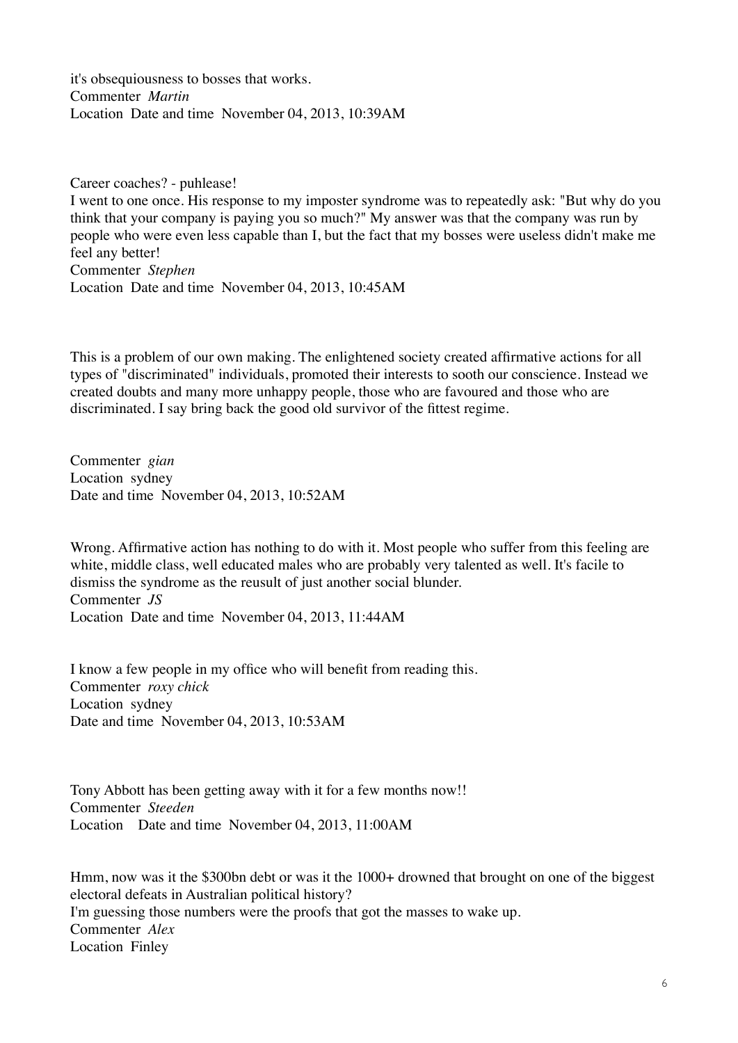it's obsequiousness to bosses that works. Commenter *Martin* Location Date and time November 04, 2013, 10:39AM

Career coaches? - puhlease! I went to one once. His response to my imposter syndrome was to repeatedly ask: "But why do you think that your company is paying you so much?" My answer was that the company was run by people who were even less capable than I, but the fact that my bosses were useless didn't make me feel any better! Commenter *Stephen* Location Date and time November 04, 2013, 10:45AM

This is a problem of our own making. The enlightened society created affirmative actions for all types of "discriminated" individuals, promoted their interests to sooth our conscience. Instead we created doubts and many more unhappy people, those who are favoured and those who are discriminated. I say bring back the good old survivor of the fittest regime.

Commenter *gian* Location sydney Date and time November 04, 2013, 10:52AM

Wrong. Affirmative action has nothing to do with it. Most people who suffer from this feeling are white, middle class, well educated males who are probably very talented as well. It's facile to dismiss the syndrome as the reusult of just another social blunder. Commenter *JS* Location Date and time November 04, 2013, 11:44AM

I know a few people in my office who will benefit from reading this. Commenter *roxy chick* Location sydney Date and time November 04, 2013, 10:53AM

Tony Abbott has been getting away with it for a few months now!! Commenter *Steeden* Location Date and time November 04, 2013, 11:00AM

Hmm, now was it the \$300bn debt or was it the 1000+ drowned that brought on one of the biggest electoral defeats in Australian political history? I'm guessing those numbers were the proofs that got the masses to wake up. Commenter *Alex* Location Finley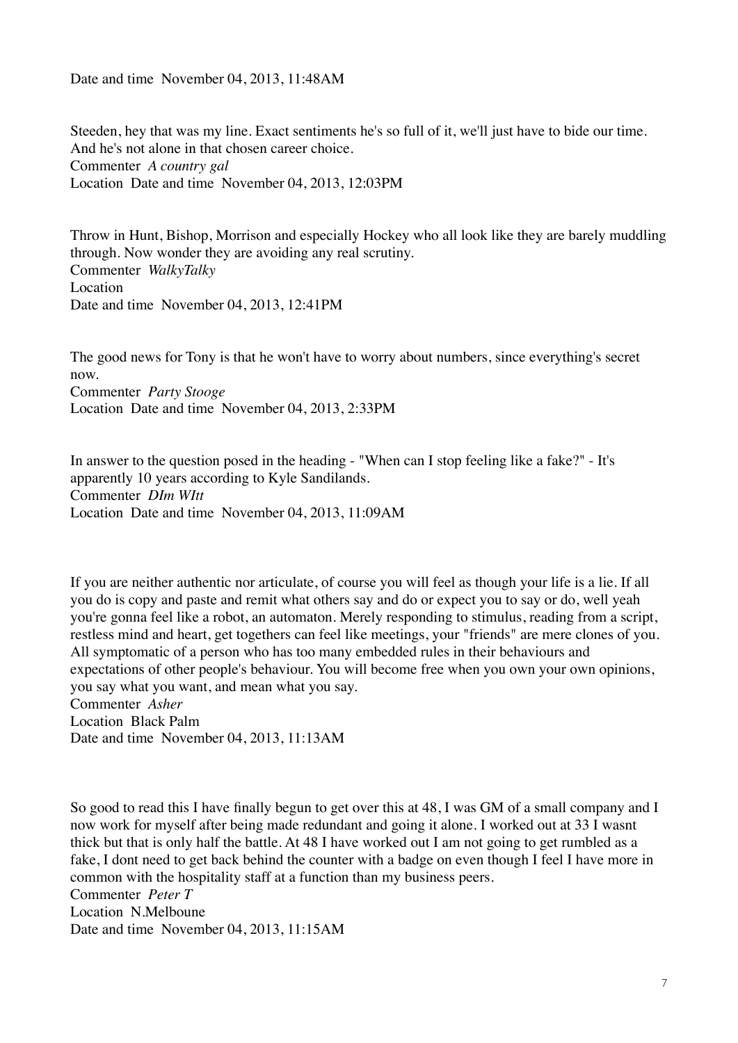Date and time November 04, 2013, 11:48AM

Steeden, hey that was my line. Exact sentiments he's so full of it, we'll just have to bide our time. And he's not alone in that chosen career choice. Commenter *A country gal* Location Date and time November 04, 2013, 12:03PM

Throw in Hunt, Bishop, Morrison and especially Hockey who all look like they are barely muddling through. Now wonder they are avoiding any real scrutiny. Commenter *WalkyTalky* Location Date and time November 04, 2013, 12:41PM

The good news for Tony is that he won't have to worry about numbers, since everything's secret now.

Commenter *Party Stooge* Location Date and time November 04, 2013, 2:33PM

In answer to the question posed in the heading - "When can I stop feeling like a fake?" - It's apparently 10 years according to Kyle Sandilands. Commenter *DIm WItt* Location Date and time November 04, 2013, 11:09AM

If you are neither authentic nor articulate, of course you will feel as though your life is a lie. If all you do is copy and paste and remit what others say and do or expect you to say or do, well yeah you're gonna feel like a robot, an automaton. Merely responding to stimulus, reading from a script, restless mind and heart, get togethers can feel like meetings, your "friends" are mere clones of you. All symptomatic of a person who has too many embedded rules in their behaviours and expectations of other people's behaviour. You will become free when you own your own opinions, you say what you want, and mean what you say. Commenter *Asher* Location Black Palm

Date and time November 04, 2013, 11:13AM

So good to read this I have finally begun to get over this at 48, I was GM of a small company and I now work for myself after being made redundant and going it alone. I worked out at 33 I wasnt thick but that is only half the battle. At 48 I have worked out I am not going to get rumbled as a fake, I dont need to get back behind the counter with a badge on even though I feel I have more in common with the hospitality staff at a function than my business peers. Commenter *Peter T* Location N.Melboune Date and time November 04, 2013, 11:15AM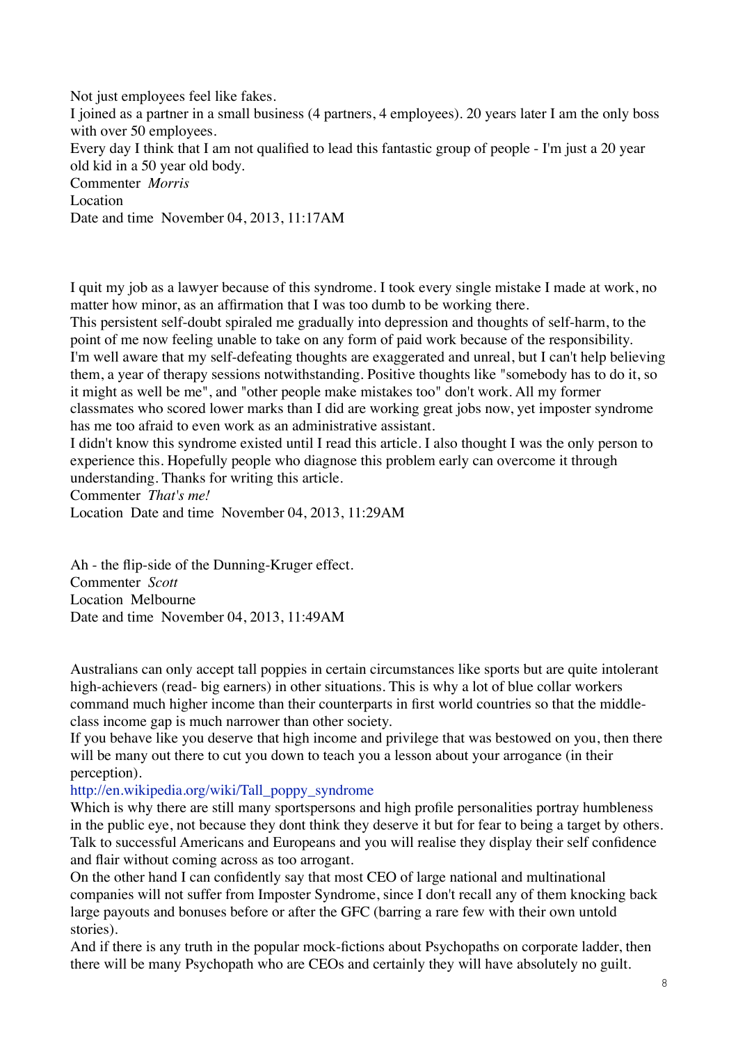Not just employees feel like fakes.

I joined as a partner in a small business (4 partners, 4 employees). 20 years later I am the only boss with over 50 employees.

Every day I think that I am not qualified to lead this fantastic group of people - I'm just a 20 year old kid in a 50 year old body.

Commenter *Morris*

Location

Date and time November 04, 2013, 11:17AM

I quit my job as a lawyer because of this syndrome. I took every single mistake I made at work, no matter how minor, as an affirmation that I was too dumb to be working there.

This persistent self-doubt spiraled me gradually into depression and thoughts of self-harm, to the point of me now feeling unable to take on any form of paid work because of the responsibility. I'm well aware that my self-defeating thoughts are exaggerated and unreal, but I can't help believing them, a year of therapy sessions notwithstanding. Positive thoughts like "somebody has to do it, so it might as well be me", and "other people make mistakes too" don't work. All my former classmates who scored lower marks than I did are working great jobs now, yet imposter syndrome has me too afraid to even work as an administrative assistant.

I didn't know this syndrome existed until I read this article. I also thought I was the only person to experience this. Hopefully people who diagnose this problem early can overcome it through understanding. Thanks for writing this article.

Commenter *That's me!*

Location Date and time November 04, 2013, 11:29AM

Ah - the flip-side of the Dunning-Kruger effect. Commenter *Scott* Location Melbourne Date and time November 04, 2013, 11:49AM

Australians can only accept tall poppies in certain circumstances like sports but are quite intolerant high-achievers (read- big earners) in other situations. This is why a lot of blue collar workers command much higher income than their counterparts in first world countries so that the middleclass income gap is much narrower than other society.

If you behave like you deserve that high income and privilege that was bestowed on you, then there will be many out there to cut you down to teach you a lesson about your arrogance (in their perception).

## [http://en.wikipedia.org/wiki/Tall\\_poppy\\_syndrome](http://en.wikipedia.org/wiki/Tall_poppy_syndrome)

Which is why there are still many sportspersons and high profile personalities portray humbleness in the public eye, not because they dont think they deserve it but for fear to being a target by others. Talk to successful Americans and Europeans and you will realise they display their self confidence and flair without coming across as too arrogant.

On the other hand I can confidently say that most CEO of large national and multinational companies will not suffer from Imposter Syndrome, since I don't recall any of them knocking back large payouts and bonuses before or after the GFC (barring a rare few with their own untold stories).

And if there is any truth in the popular mock-fictions about Psychopaths on corporate ladder, then there will be many Psychopath who are CEOs and certainly they will have absolutely no guilt.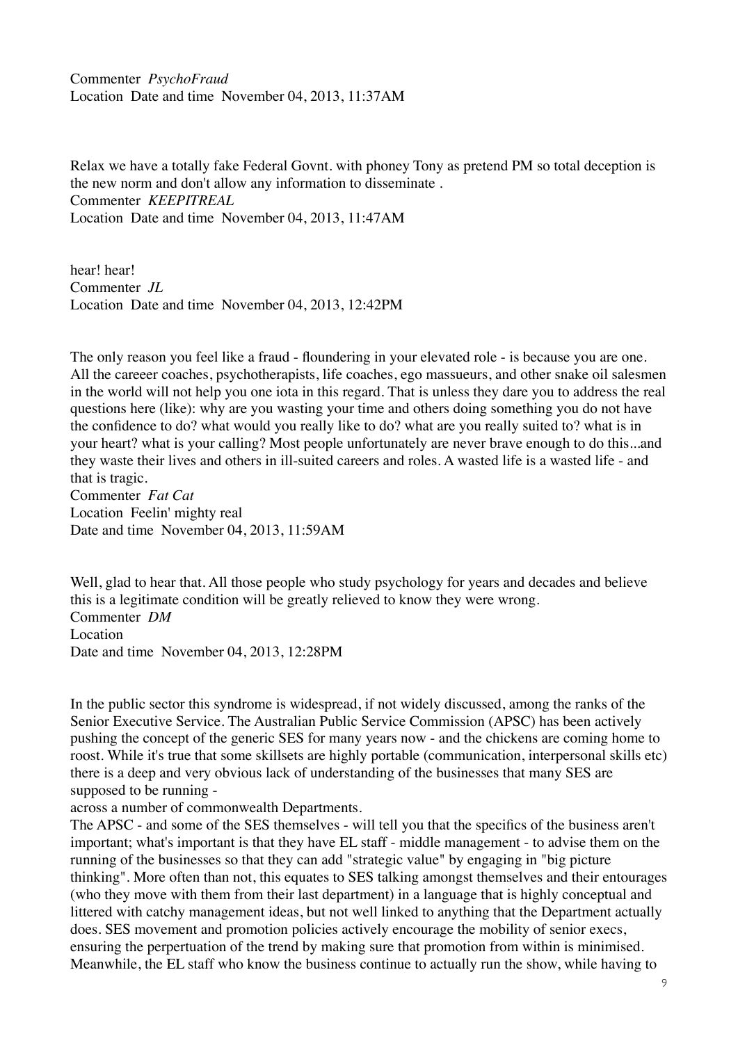Commenter *PsychoFraud* Location Date and time November 04, 2013, 11:37AM

Relax we have a totally fake Federal Govnt. with phoney Tony as pretend PM so total deception is the new norm and don't allow any information to disseminate . Commenter *KEEPITREAL* Location Date and time November 04, 2013, 11:47AM

hear! hear! Commenter *JL* Location Date and time November 04, 2013, 12:42PM

The only reason you feel like a fraud - floundering in your elevated role - is because you are one. All the careeer coaches, psychotherapists, life coaches, ego massueurs, and other snake oil salesmen in the world will not help you one iota in this regard. That is unless they dare you to address the real questions here (like): why are you wasting your time and others doing something you do not have the confidence to do? what would you really like to do? what are you really suited to? what is in your heart? what is your calling? Most people unfortunately are never brave enough to do this...and they waste their lives and others in ill-suited careers and roles. A wasted life is a wasted life - and that is tragic.

Commenter *Fat Cat* Location Feelin' mighty real Date and time November 04, 2013, 11:59AM

Well, glad to hear that. All those people who study psychology for years and decades and believe this is a legitimate condition will be greatly relieved to know they were wrong. Commenter *DM* Location Date and time November 04, 2013, 12:28PM

In the public sector this syndrome is widespread, if not widely discussed, among the ranks of the Senior Executive Service. The Australian Public Service Commission (APSC) has been actively pushing the concept of the generic SES for many years now - and the chickens are coming home to roost. While it's true that some skillsets are highly portable (communication, interpersonal skills etc) there is a deep and very obvious lack of understanding of the businesses that many SES are supposed to be running -

across a number of commonwealth Departments.

The APSC - and some of the SES themselves - will tell you that the specifics of the business aren't important; what's important is that they have EL staff - middle management - to advise them on the running of the businesses so that they can add "strategic value" by engaging in "big picture thinking". More often than not, this equates to SES talking amongst themselves and their entourages (who they move with them from their last department) in a language that is highly conceptual and littered with catchy management ideas, but not well linked to anything that the Department actually does. SES movement and promotion policies actively encourage the mobility of senior execs, ensuring the perpertuation of the trend by making sure that promotion from within is minimised. Meanwhile, the EL staff who know the business continue to actually run the show, while having to